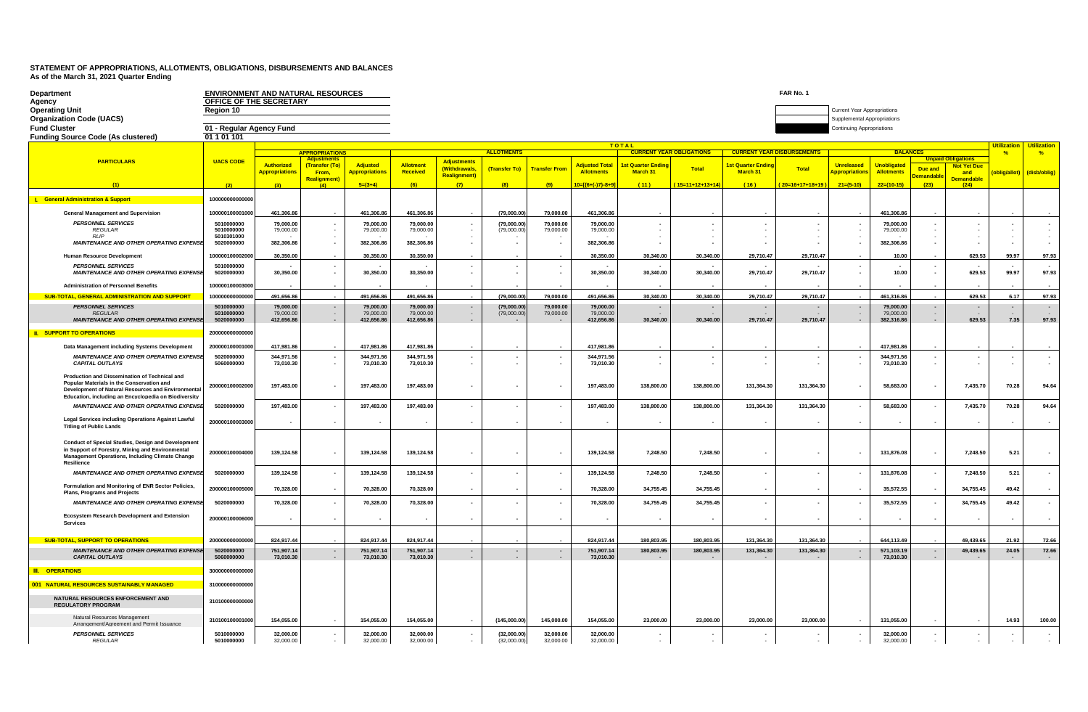| <b>Department</b>                                                                                                                                                                                        | <b>ENVIRONMENT AND NATURAL RESOURCES</b> |                                     |                                     |                                   |                              |                                       |                             |                         |                                            |                                                 |                                 |                                          | FAR No. 1                |                                    |                                         |                                  |                           |               |               |
|----------------------------------------------------------------------------------------------------------------------------------------------------------------------------------------------------------|------------------------------------------|-------------------------------------|-------------------------------------|-----------------------------------|------------------------------|---------------------------------------|-----------------------------|-------------------------|--------------------------------------------|-------------------------------------------------|---------------------------------|------------------------------------------|--------------------------|------------------------------------|-----------------------------------------|----------------------------------|---------------------------|---------------|---------------|
| Agency<br><b>Operating Unit</b>                                                                                                                                                                          | OFFICE OF THE SECRETARY<br>Region 10     |                                     |                                     |                                   |                              |                                       |                             |                         |                                            |                                                 |                                 |                                          |                          | <b>Current Year Appropriations</b> |                                         |                                  |                           |               |               |
| <b>Organization Code (UACS)</b>                                                                                                                                                                          |                                          |                                     |                                     |                                   |                              |                                       |                             |                         |                                            |                                                 |                                 |                                          |                          | Supplemental Appropriations        |                                         |                                  |                           |               |               |
| <b>Fund Cluster</b><br><b>Funding Source Code (As clustered)</b>                                                                                                                                         | 01 - Regular Agency Fund<br>01 1 01 101  |                                     |                                     |                                   |                              |                                       |                             |                         |                                            |                                                 |                                 |                                          |                          | Continuing Appropriations          |                                         |                                  |                           |               |               |
|                                                                                                                                                                                                          |                                          |                                     |                                     |                                   |                              |                                       |                             |                         |                                            | <b>TOTAL</b>                                    |                                 | <u>Utilization</u><br><b>Utilization</b> |                          |                                    |                                         |                                  |                           |               |               |
| <b>PARTICULARS</b>                                                                                                                                                                                       | <b>UACS CODE</b>                         |                                     | <b>APPROPRIATIONS</b><br>Adiustment |                                   |                              | <b>Adjustments</b>                    | <b>ALLOTMENTS</b>           |                         |                                            |                                                 | <b>CURRENT YEAR OBLIGATIONS</b> | <b>CURRENT YEAR DISBURSEMENTS</b>        |                          |                                    | <b>BALANCE</b>                          |                                  |                           | $\frac{9}{6}$ | $\frac{9}{6}$ |
|                                                                                                                                                                                                          |                                          | Authorized<br><b>Appropriations</b> | (Transfer (To<br>From,              | Adjusted<br><b>Appropriations</b> | <b>Allotment</b><br>Received | (Withdrawals,<br><b>Realignment</b> ) | (Transfer To)               | <b>Transfer From</b>    | <b>Adjusted Total</b><br><b>Allotments</b> | <b>1st Quarter Endir</b><br>March 31            | <b>Total</b>                    | <b>Ist Quarter Endi</b><br>March 31      | <b>Total</b>             | <b>Unreleased</b><br>ppropriation  | <b>Unobligated</b><br><b>Allotments</b> | Due and<br><mark>emandabl</mark> | <b>Not Yet Due</b><br>and | oblig/allot   | (disb/oblig)  |
|                                                                                                                                                                                                          |                                          |                                     | Realignment<br>$\sqrt{4N}$          | $5=(3+4)$                         |                              | (7)                                   | (8)                         | (9)                     | 10=[{6+(-)7}-8+9]                          | (44)                                            | $(15=11+12+13+14)$              | (16)                                     | $(20=16+17+18+19)$       | $21=(5-10)$                        | $22=(10-15)$                            | (23)                             | <b>Demandable</b><br>(24) |               |               |
| <b>I.</b> General Administration & Support                                                                                                                                                               | 10000000000000                           |                                     |                                     |                                   |                              |                                       |                             |                         |                                            |                                                 |                                 |                                          |                          |                                    |                                         |                                  |                           |               |               |
| <b>General Management and Supervision</b>                                                                                                                                                                | 100000100001000                          | 461,306.86                          |                                     | 461,306.86                        | 461,306.86                   |                                       | (79,000.00)                 | 79,000.00               | 461,306.86                                 |                                                 |                                 |                                          |                          |                                    | 461.306.86                              |                                  |                           |               |               |
| <b>PERSONNEL SERVICES</b><br><b>REGULAR</b>                                                                                                                                                              | 5010000000<br>5010000000                 | 79,000.00<br>79,000.00              |                                     | 79,000.00<br>79,000.00            | 79,000.00<br>79,000.00       |                                       | (79,000.00)<br>(79,000.00)  | 79,000.00<br>79,000.00  | 79,000.00<br>79,000.00                     | $\blacksquare$<br>$\sim$                        |                                 |                                          |                          |                                    | 79,000.00<br>79,000.00                  |                                  |                           |               |               |
| RI IP<br><b>MAINTENANCE AND OTHER OPERATING EXPENSE</b>                                                                                                                                                  | 5010301000<br>5020000000                 | 382,306.86                          |                                     | 382,306.86                        | 382,306.86                   |                                       |                             |                         | 382,306.86                                 | $\sim$                                          |                                 |                                          |                          |                                    | 382,306.86                              |                                  |                           |               |               |
| <b>Human Resource Development</b>                                                                                                                                                                        | 100000100002000                          | 30.350.00                           |                                     | 30.350.00                         | 30,350.00                    |                                       |                             |                         | 30.350.00                                  | 30.340.00                                       | 30.340.00                       | 29.710.47                                | 29,710.47                |                                    | 10.00                                   |                                  | 629.53                    | 99.97         | 97.93         |
| <b>PERSONNEL SERVICES</b><br><b>MAINTENANCE AND OTHER OPERATING EXPENSE</b>                                                                                                                              | 5010000000<br>5020000000                 | 30,350.00                           |                                     | 30,350.00                         | 30,350.00                    |                                       | $\sim$                      |                         | 30,350.00                                  | 30,340.00                                       | 30,340.00                       | 29,710.47                                | 29,710.47                | $\overline{\phantom{a}}$<br>$\sim$ | 10.00                                   |                                  | 629.53                    | 99.97         | 97.93         |
| <b>Administration of Personnel Benefits</b>                                                                                                                                                              | 100000100003000                          |                                     |                                     |                                   |                              |                                       |                             |                         |                                            |                                                 |                                 |                                          |                          |                                    |                                         |                                  |                           |               |               |
| <b>SUB-TOTAL, GENERAL ADMINISTRATION AND SUPPORT</b>                                                                                                                                                     | 10000000000000                           | 491.656.86                          |                                     | 491.656.86                        | 491.656.86                   |                                       | (79,000.00)                 | 79.000.00               | 491,656.86                                 | 30,340.00                                       | 30,340.00                       | 29,710.47                                | 29,710.47                |                                    | 461.316.86                              |                                  | 629.53                    | 6.17          | 97.93         |
| <b>PERSONNEL SERVICES</b><br><b>REGULAR</b>                                                                                                                                                              | 5010000000<br>5010000000                 | 79,000.00<br>79,000.00              | $\sim$                              | 79,000.00<br>79,000.00            | 79,000.00<br>79,000.00       | $\sim$                                | (79,000.00)<br>(79,000.00)  | 79.000.00<br>79,000.00  | 79,000.00<br>79,000.00                     | $\overline{a}$                                  | $\overline{\phantom{a}}$        |                                          |                          | $\sim$                             | 79,000.00<br>79,000.00                  | $\sim$                           |                           |               | $\sim$        |
| <b>MAINTENANCE AND OTHER OPERATING EXPENSE</b><br><b>II. SUPPORT TO OPERATIONS</b>                                                                                                                       | 5020000000<br>2000000000000              | 412,656.86                          |                                     | 412,656.86                        | 412,656.86                   |                                       |                             |                         | 412,656.86                                 | 30,340.00                                       | 30,340.00                       | 29,710.47                                | 29,710.47                |                                    | 382,316.86                              |                                  | 629.53                    | 7.35          | 97.93         |
| Data Management including Systems Development                                                                                                                                                            | 200000100001000                          | 417,981.8                           |                                     | 417,981.86                        | 417,981.86                   |                                       |                             |                         | 417,981.8                                  |                                                 |                                 |                                          |                          |                                    | 417,981.86                              |                                  |                           |               |               |
| <b>MAINTENANCE AND OTHER OPERATING EXPENSE</b>                                                                                                                                                           | 5020000000                               | 344,971.56                          |                                     | 344,971.56                        | 344,971.56                   |                                       |                             |                         | 344,971.56                                 | $\sim$                                          | $\overline{a}$                  |                                          |                          |                                    | 344,971.56                              |                                  |                           |               |               |
| <b>CAPITAL OUTLAYS</b>                                                                                                                                                                                   | 5060000000                               | 73,010.30                           |                                     | 73,010.30                         | 73,010.30                    |                                       |                             |                         | 73,010.30                                  |                                                 |                                 |                                          |                          |                                    | 73,010.30                               |                                  |                           |               |               |
| Production and Dissemination of Technical and<br>Popular Materials in the Conservation and<br>Development of Natural Resources and Environmental<br>Education. including an Encyclopedia on Biodiversity | 200000100002000                          | 197,483.00                          |                                     | 197,483.00                        | 197,483.00                   |                                       | ٠.                          |                         | 197,483.00                                 | 138,800.00                                      | 138,800.00                      | 131,364.30                               | 131,364.30               |                                    | 58,683.00                               |                                  | 7,435.70                  | 70.28         | 94.64         |
| <b>MAINTENANCE AND OTHER OPERATING EXPENSE</b>                                                                                                                                                           | 5020000000                               | 197,483.00                          |                                     | 197,483.00                        | 197,483.00                   |                                       | $\overline{\phantom{a}}$    |                         | 197,483.00                                 | 138,800.00                                      | 138,800.00                      | 131,364.30                               | 131,364.30               | $\overline{\phantom{a}}$           | 58,683.00                               |                                  | 7,435.70                  | 70.28         | 94.64         |
| Legal Services including Operations Against Lawful<br><b>Titling of Public Lands</b>                                                                                                                     | 200000100003000                          |                                     | $\overline{\phantom{a}}$            | $\overline{\phantom{a}}$          |                              |                                       |                             |                         | $\overline{\phantom{a}}$                   | $\overline{\phantom{a}}$                        | $\overline{\phantom{a}}$        | $\sim$                                   | $\sim$                   | $\overline{\phantom{a}}$           |                                         |                                  |                           |               |               |
| Conduct of Special Studies, Design and Development<br>in Support of Forestry, Mining and Environmental<br><b>Management Operations, Including Climate Change</b><br>Resilience                           | 200000100004000                          | 139,124.58                          |                                     | 139,124.58                        | 139,124.58                   |                                       |                             |                         | 139,124.58                                 | 7,248.50                                        | 7,248.50                        |                                          |                          |                                    | 131,876.08                              |                                  | 7,248.50                  | 5.21          |               |
| <b>MAINTENANCE AND OTHER OPERATING EXPENSE</b>                                                                                                                                                           | 5020000000                               | 139,124.58                          |                                     | 139,124.58                        | 139,124.58                   |                                       |                             |                         | 139,124.58                                 | 7,248.50                                        | 7,248.50                        |                                          | $\overline{\phantom{a}}$ |                                    | 131,876.08                              |                                  | 7,248.50                  | 5.21          |               |
| Formulation and Monitoring of ENR Sector Policies,<br>Plans, Programs and Projects                                                                                                                       | 200000100005000                          | 70,328.00                           |                                     | 70,328.00                         | 70,328.00                    |                                       |                             |                         | 70,328.00                                  | 34,755.45                                       | 34,755.45                       |                                          |                          |                                    | 35,572.55                               |                                  | 34,755.45                 | 49.42         |               |
| <b>MAINTENANCE AND OTHER OPERATING EXPENSE</b>                                                                                                                                                           | 5020000000                               | 70,328.00                           |                                     | 70,328.00                         | 70,328.00                    |                                       |                             |                         | 70,328.00                                  | 34,755.45                                       | 34,755.45                       |                                          | $\sim$                   |                                    | 35,572.55                               |                                  | 34,755.45                 | 49.42         |               |
| Ecosystem Research Development and Extension<br><b>Services</b>                                                                                                                                          | 200000100006000                          |                                     | $\overline{\phantom{a}}$            | $\overline{\phantom{a}}$          |                              |                                       |                             |                         | $\overline{\phantom{a}}$                   | $\overline{\phantom{a}}$                        |                                 |                                          |                          | $\overline{\phantom{a}}$           |                                         |                                  |                           |               |               |
| <b>SUB-TOTAL, SUPPORT TO OPERATIONS</b>                                                                                                                                                                  | 200000000000000                          | 824.917.44                          |                                     | 824.917.44                        | 824.917.44                   |                                       |                             |                         | 824.917.44                                 | 180.803.95                                      | 180.803.95                      | 131.364.30                               | 131.364.30               |                                    | 644.113.49                              |                                  | 49.439.65                 | 21.92         | 72.66         |
| <b>MAINTENANCE AND OTHER OPERATING EXPENSE</b>                                                                                                                                                           | 5020000000                               | 751,907.14                          |                                     | 751,907.14                        | 751,907.14                   | $\blacksquare$                        |                             |                         | 751,907.14                                 | 180,803.95                                      | 180,803.95                      | 131,364.30                               | 131,364.30               |                                    | 571,103.19                              |                                  | 49,439.65                 | 24.05         | 72.66         |
| <b>CAPITAL OUTLAYS</b><br><b>III. OPERATIONS</b>                                                                                                                                                         | 5060000000<br>300000000000000            | 73,010.30                           | $\overline{\phantom{a}}$            | 73,010.30                         | 73,010.30                    | $\sim$                                | $\sim$                      |                         | 73,010.30                                  |                                                 |                                 |                                          |                          | $\overline{\phantom{a}}$           | 73,010.30                               | $\sim$                           |                           |               |               |
|                                                                                                                                                                                                          |                                          |                                     |                                     |                                   |                              |                                       |                             |                         |                                            |                                                 |                                 |                                          |                          |                                    |                                         |                                  |                           |               |               |
| 001 NATURAL RESOURCES SUSTAINABLY MANAGED<br>NATURAL RESOURCES ENFORCEMENT AND                                                                                                                           | 310000000000000<br>310100000000000       |                                     |                                     |                                   |                              |                                       |                             |                         |                                            |                                                 |                                 |                                          |                          |                                    |                                         |                                  |                           |               |               |
| <b>REGULATORY PROGRAM</b><br>Natural Resources Management                                                                                                                                                |                                          |                                     |                                     |                                   |                              |                                       |                             |                         |                                            |                                                 |                                 |                                          |                          |                                    |                                         |                                  |                           |               |               |
| Arrangement/Agreement and Permit Issuance<br><b>PERSONNEL SERVICES</b>                                                                                                                                   | 310100100001000<br>5010000000            | 154,055.00<br>32.000.00             | $\overline{\phantom{a}}$            | 154,055.00<br>32.000.00           | 154,055.00<br>32.000.00      | $\sim$                                | (145,000.00)<br>(32.000.00) | 145,000.00<br>32.000.00 | 154,055.00<br>32.000.00                    | 23,000.00                                       | 23,000.00                       | 23,000.00                                | 23,000.00                | $\sim$                             | 131,055.00<br>32.000.00                 | $\overline{\phantom{a}}$         | $\sim$                    | 14.93         | 100.00        |
| <b>REGULAR</b>                                                                                                                                                                                           | 5010000000                               | 32,000.00                           | $\omega$                            | 32,000.00                         | 32,000.00                    | $\sim$                                | (32,000.00)                 | 32,000.00               | 32,000.00                                  | $\overline{\phantom{a}}$<br>$\bar{\phantom{a}}$ | $\sim$<br>$\sim$                |                                          |                          |                                    | 32,000.00                               |                                  |                           |               |               |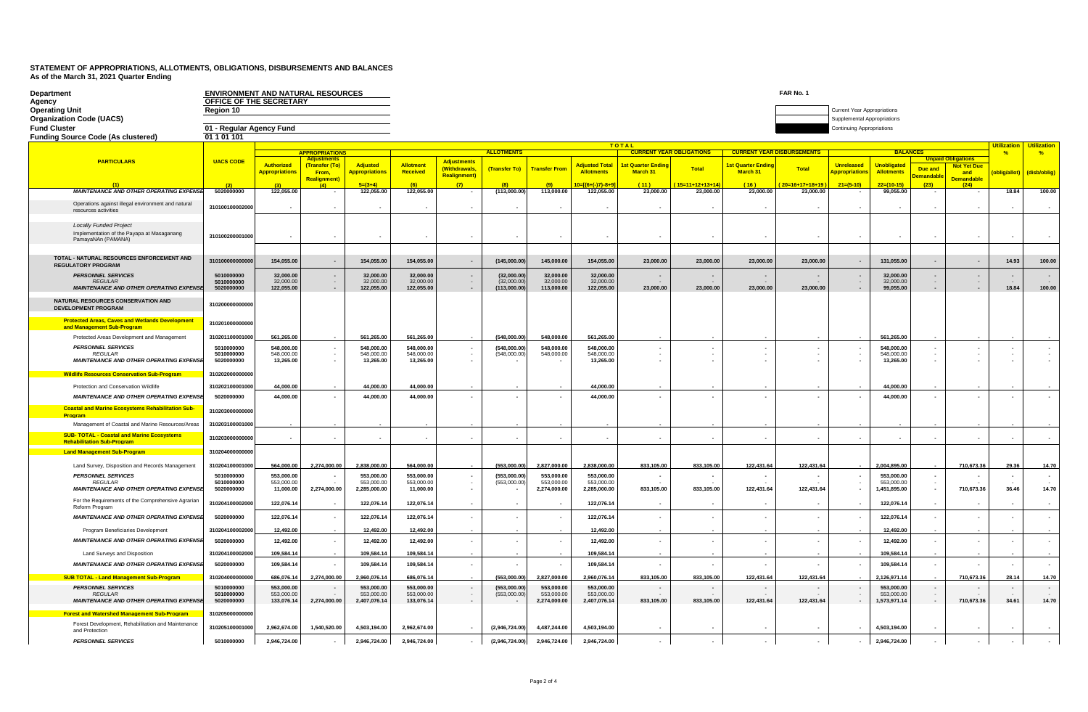| Department<br>Agency                                                                              | <b>ENVIRONMENT AND NATURAL RESOURCES</b><br>OFFICE OF THE SECRETARY |                                        |                                              |                                          |                                        |                                     |                                            |                                          |                                          |                                            |                  |                                  | FAR No. 1                              |                                                                |                                          |                                              |                                                 |               |                    |
|---------------------------------------------------------------------------------------------------|---------------------------------------------------------------------|----------------------------------------|----------------------------------------------|------------------------------------------|----------------------------------------|-------------------------------------|--------------------------------------------|------------------------------------------|------------------------------------------|--------------------------------------------|------------------|----------------------------------|----------------------------------------|----------------------------------------------------------------|------------------------------------------|----------------------------------------------|-------------------------------------------------|---------------|--------------------|
| <b>Operating Unit</b>                                                                             | Region 10                                                           |                                        |                                              |                                          |                                        |                                     |                                            |                                          |                                          |                                            |                  |                                  |                                        | <b>Current Year Appropriations</b>                             |                                          |                                              |                                                 |               |                    |
| <b>Organization Code (UACS)</b>                                                                   |                                                                     |                                        |                                              |                                          |                                        |                                     |                                            |                                          |                                          |                                            |                  |                                  |                                        | Supplemental Appropriations                                    |                                          |                                              |                                                 |               |                    |
| <b>Fund Cluster</b><br><b>Funding Source Code (As clustered)</b>                                  | 01 - Regular Agency Fund<br>01 1 01 101                             |                                        |                                              |                                          |                                        |                                     |                                            |                                          |                                          |                                            |                  |                                  |                                        | <b>Continuing Appropriations</b>                               |                                          |                                              |                                                 |               |                    |
|                                                                                                   |                                                                     |                                        |                                              |                                          |                                        |                                     |                                            |                                          |                                          | <b>TOTAL</b>                               |                  |                                  |                                        |                                                                |                                          |                                              |                                                 | Utilizatio    | <b>Utilization</b> |
|                                                                                                   |                                                                     |                                        | <b>APPROPRIATIONS</b>                        |                                          |                                        |                                     | <b>ALLOTMENTS</b>                          |                                          |                                          | <b>CURRENT YEAR OBLIGATIONS</b>            |                  | <b>CURRENT YEAR DISBURSEMENT</b> |                                        |                                                                | <b>BALANCES</b>                          |                                              |                                                 | $\frac{9}{6}$ | $\frac{9}{6}$      |
| <b>PARTICULARS</b>                                                                                | <b>UACS CODE</b>                                                    | <b>Authorized</b>                      | <b>Adjustments</b><br>(Transfer (To)         | <b>Adjusted</b>                          | <b>Allotment</b>                       | <b>Adjustments</b><br>(Withdrawals, | (Transfer To)                              | <b>Transfer From</b>                     | <b>Adjusted Total</b>                    | <b>Ist Quarter Endin</b>                   | <b>Total</b>     | st Quarter Endir                 | Total                                  | <b>Unreleased</b>                                              | <b>Unobligated</b>                       |                                              | <b>Unpaid Obligations</b><br><b>Not Yet Due</b> |               |                    |
|                                                                                                   |                                                                     | <b>Appropriations</b>                  | From,<br><b>Realignment</b> )                | <b>Appropriations</b>                    | <b>Received</b>                        | <b>Realignment)</b>                 |                                            |                                          | <b>Allotments</b>                        | March 31                                   |                  | March 31                         |                                        | Appropriation                                                  | <b>Allotments</b>                        | Due and<br><b>emandabl</b>                   | and                                             | oblig/allot)  | (disb/oblig)       |
|                                                                                                   |                                                                     |                                        |                                              | $5=(3+4)$                                | (6)                                    |                                     |                                            | (9)                                      | $10 = \frac{6 + (-1)^2 - 8 + 9}{2}$      | (11)                                       | $15=11+12+13+14$ | 161                              | $20=16+17+18+19$                       | $21=(5-10)$                                                    | $22=(10-15)$                             | (23)                                         | <b>Demandable</b><br>(24)                       |               |                    |
| <b>MAINTENANCE AND OTHER OPERATING EXPENSE</b>                                                    | 5020000000                                                          | 122,055.00                             |                                              | 122,055.00                               | 122,055.00                             |                                     | (113,000.00)                               | 113,000.00                               | 122,055.00                               | 23,000.00                                  | 23,000.00        | 23,000.00                        | 23,000.00                              |                                                                | 99,055.00                                |                                              |                                                 | 18.84         | 100.00             |
| Operations against illegal environment and natural<br>resources activities                        | 310100100002000                                                     |                                        |                                              |                                          |                                        |                                     |                                            |                                          |                                          |                                            |                  |                                  |                                        |                                                                | $\overline{\phantom{a}}$                 |                                              |                                                 |               |                    |
| <b>Locally Funded Project</b><br>Implementation of the Payapa at Masaganang<br>PamayaNAn (PAMANA) | 310100200001000                                                     |                                        |                                              |                                          |                                        |                                     |                                            |                                          |                                          |                                            |                  |                                  |                                        |                                                                |                                          |                                              |                                                 |               |                    |
|                                                                                                   |                                                                     |                                        |                                              |                                          |                                        |                                     |                                            |                                          |                                          |                                            |                  |                                  |                                        |                                                                |                                          |                                              |                                                 |               |                    |
| TOTAL - NATURAL RESOURCES ENFORCEMENT AND<br><b>REGULATORY PROGRAM</b>                            | 31010000000000                                                      | 154,055.00                             | $\sim$                                       | 154,055.00                               | 154,055.00                             | $\sim$                              | (145,000.00)                               | 145,000.00                               | 154,055.00                               | 23,000.00                                  | 23,000.00        | 23,000.00                        | 23,000.00                              | $\sim$                                                         | 131,055.00                               | $\overline{\phantom{a}}$                     | $\overline{\phantom{a}}$                        | 14.93         | 100.00             |
| <b>PERSONNEL SERVICES</b><br><b>REGULAR</b><br><b>MAINTENANCE AND OTHER OPERATING EXPENSI</b>     | 5010000000<br>5010000000<br>5020000000                              | 32,000.00<br>32,000.00<br>122,055.00   | $\overline{\phantom{a}}$<br>$\sim$<br>$\sim$ | 32,000.00<br>32,000.00<br>122,055.00     | 32,000.00<br>32,000.00<br>122,055.00   | $\sim$<br>$\overline{\phantom{a}}$  | (32,000.00)<br>(32,000.00)<br>(113,000.00) | 32,000.00<br>32,000.00<br>113,000.00     | 32,000.00<br>32,000.00<br>122,055.00     | 23,000.00                                  | 23,000.00        | 23,000.00                        | $\overline{\phantom{a}}$<br>23.000.00  | $\sim$<br>$\overline{\phantom{a}}$                             | 32,000.00<br>32,000.00<br>99,055.00      | $\overline{\phantom{a}}$<br>$\sim$<br>$\sim$ |                                                 | 18.84         | 100.00             |
|                                                                                                   |                                                                     |                                        |                                              |                                          |                                        |                                     |                                            |                                          |                                          |                                            |                  |                                  |                                        |                                                                |                                          |                                              |                                                 |               |                    |
| NATURAL RESOURCES CONSERVATION AND<br><b>DEVELOPMENT PROGRAM</b>                                  | 310200000000000                                                     |                                        |                                              |                                          |                                        |                                     |                                            |                                          |                                          |                                            |                  |                                  |                                        |                                                                |                                          |                                              |                                                 |               |                    |
| <b>Protected Areas, Caves and Wetlands Development</b><br>and Management Sub-Program              | 310201000000000                                                     |                                        |                                              |                                          |                                        |                                     |                                            |                                          |                                          |                                            |                  |                                  |                                        |                                                                |                                          |                                              |                                                 |               |                    |
| Protected Areas Development and Management                                                        | 310201100001000                                                     | 561.265.00                             |                                              | 561.265.00                               | 561.265.00                             |                                     | (548.000.00)                               | 548.000.00                               | 561.265.00                               |                                            |                  |                                  |                                        |                                                                | 561.265.00                               |                                              |                                                 |               |                    |
| <b>PERSONNEL SERVICES</b>                                                                         | 5010000000                                                          | 548,000.00                             |                                              | 548,000.00                               | 548,000.00                             |                                     | (548,000.00)                               | 548,000.00                               | 548,000.00                               |                                            |                  |                                  |                                        |                                                                | 548,000.00                               |                                              |                                                 |               |                    |
| <b>REGULAR</b><br><b>MAINTENANCE AND OTHER OPERATING EXPENSE</b>                                  | 5010000000<br>5020000000                                            | 548,000.00<br>13,265.00                | $\sim$<br>$\overline{\phantom{a}}$           | 548,000.00<br>13,265.00                  | 548,000.00<br>13,265.00                | $\sim$                              | (548,000.00)                               | 548,000.00                               | 548,000.00<br>13,265.00                  | $\overline{\phantom{a}}$<br>$\blacksquare$ |                  |                                  | $\sim$                                 | $\sim$<br>$\overline{\phantom{a}}$                             | 548,000.00<br>13,265.00                  | $\sim$<br>$\overline{\phantom{a}}$           |                                                 |               |                    |
| <b>Wildlife Resources Conservation Sub-Program</b>                                                | 310202000000000                                                     |                                        |                                              |                                          |                                        |                                     |                                            |                                          |                                          |                                            |                  |                                  |                                        |                                                                |                                          |                                              |                                                 |               |                    |
| Protection and Conservation Wildlife                                                              | 310202100001000                                                     | 44.000.00                              |                                              | 44.000.00                                | 44.000.00                              |                                     |                                            |                                          | 44,000.00                                |                                            |                  |                                  |                                        |                                                                | 44.000.00                                |                                              |                                                 |               |                    |
| <b>MAINTENANCE AND OTHER OPERATING EXPENSE</b>                                                    | 5020000000                                                          | 44,000.00                              | $\overline{\phantom{a}}$                     | 44,000.00                                | 44,000.00                              |                                     | $\overline{\phantom{a}}$                   |                                          | 44,000.00                                |                                            |                  |                                  | $\overline{\phantom{a}}$               | ٠.                                                             | 44,000.00                                |                                              |                                                 |               |                    |
| <b>Coastal and Marine Ecosystems Rehabilitation Sub-</b>                                          | 310203000000000                                                     |                                        |                                              |                                          |                                        |                                     |                                            |                                          |                                          |                                            |                  |                                  |                                        |                                                                |                                          |                                              |                                                 |               |                    |
| Program<br>Management of Coastal and Marine Resources/Areas                                       | 310203100001000                                                     |                                        |                                              |                                          |                                        |                                     |                                            |                                          |                                          |                                            |                  |                                  |                                        |                                                                |                                          |                                              |                                                 |               |                    |
| <b>SUB- TOTAL - Coastal and Marine Ecosystems</b><br><b>Rehabilitation Sub-Program</b>            | 310203000000000                                                     | $\overline{\phantom{a}}$               | $\overline{\phantom{a}}$                     | $\overline{\phantom{a}}$                 | $\blacksquare$                         |                                     | $\overline{\phantom{a}}$                   |                                          | $\overline{\phantom{a}}$                 | $\blacksquare$                             |                  |                                  | $\blacksquare$                         | $\overline{\phantom{a}}$                                       | $\blacksquare$                           |                                              |                                                 |               |                    |
| <b>Land Management Sub-Program</b>                                                                | 31020400000000                                                      |                                        |                                              |                                          |                                        |                                     |                                            |                                          |                                          |                                            |                  |                                  |                                        |                                                                |                                          |                                              |                                                 |               |                    |
| Land Survey, Disposition and Records Management                                                   | 310204100001000                                                     | 564,000.00                             | 2,274,000.00                                 | 2,838,000.00                             | 564,000.00                             |                                     | (553,000.00                                | 2,827,000.00                             | 2,838,000.00                             | 833,105.00                                 | 833,105.00       | 122,431.64                       | 122,431.64                             |                                                                | 2,004,895.00                             |                                              | 710,673.36                                      | 29.36         | 14.70              |
| <b>PERSONNEL SERVICES</b>                                                                         | 5010000000                                                          | 553,000.00                             |                                              | 553,000.00                               | 553,000.00                             |                                     | (553,000.00)                               | 553,000.00                               | 553.000.00                               |                                            |                  |                                  | $\overline{\phantom{a}}$               | $\overline{\phantom{a}}$                                       | 553.000.00                               |                                              |                                                 |               |                    |
| <b>REGULAR</b><br><b>MAINTENANCE AND OTHER OPERATING EXPENSI</b>                                  | 5010000000<br>5020000000                                            | 553,000.00<br>11,000.00                | 2,274,000.00                                 | 553,000.00<br>2,285,000.00               | 553,000.00<br>11,000.00                |                                     | (553,000.00)                               | 553,000.00<br>2,274,000.00               | 553,000.00<br>2,285,000.00               | 833,105.00                                 | 833,105.00       | 122,431.64                       | 122,431.64                             | $\sim$<br>$\overline{\phantom{a}}$                             | 553,000.00<br>1,451,895.00               |                                              | 710,673.36                                      | 36.46         | 14.70              |
| For the Requirements of the Comprehensive Agrarian<br>Reform Program                              | 310204100002000                                                     | 122,076.14                             | $\sim$                                       | 122,076.14                               | 122,076.14                             | $\overline{\phantom{a}}$            |                                            |                                          | 122,076.14                               | $\overline{\phantom{a}}$                   | $\sim$           | $\sim$                           | $\overline{\phantom{a}}$               | $\overline{\phantom{a}}$                                       | 122,076.14                               |                                              | $\overline{\phantom{a}}$                        |               | $\sim$             |
| <b>MAINTENANCE AND OTHER OPERATING EXPENSE</b>                                                    | 5020000000                                                          | 122,076.14                             | $\overline{\phantom{a}}$                     | 122,076.14                               | 122,076.14                             |                                     |                                            |                                          | 122,076.14                               |                                            |                  |                                  | $\overline{\phantom{a}}$               |                                                                | 122,076.14                               |                                              |                                                 |               |                    |
| Program Beneficiaries Development                                                                 | 31020410000200                                                      | 12,492.00                              |                                              | 12,492.00                                | 12,492.00                              |                                     |                                            |                                          | 12,492.00                                |                                            |                  |                                  |                                        |                                                                | 12,492.00                                |                                              |                                                 |               |                    |
| <b>MAINTENANCE AND OTHER OPERATING EXPENSI</b>                                                    | 5020000000                                                          | 12,492.00                              |                                              | 12,492.00                                | 12,492.00                              |                                     | $\overline{\phantom{a}}$                   |                                          | 12,492.00                                |                                            |                  |                                  | $\overline{\phantom{a}}$               | $\overline{\phantom{a}}$                                       | 12,492.00                                |                                              |                                                 |               |                    |
|                                                                                                   | 310204100002000                                                     | 109.584.14                             |                                              | 109.584.14                               | 109,584.14                             |                                     |                                            |                                          | 109.584.14                               |                                            |                  |                                  |                                        |                                                                | 109.584.14                               |                                              |                                                 |               |                    |
| Land Surveys and Disposition<br><b>MAINTENANCE AND OTHER OPERATING EXPENSE</b>                    | 5020000000                                                          | 109,584.14                             |                                              | 109,584.14                               | 109,584.14                             |                                     |                                            |                                          | 109,584.14                               |                                            |                  |                                  | $\overline{\phantom{a}}$               |                                                                | 109,584.14                               |                                              |                                                 |               |                    |
|                                                                                                   |                                                                     |                                        |                                              |                                          |                                        |                                     |                                            |                                          |                                          |                                            |                  |                                  |                                        | ٠.                                                             |                                          |                                              |                                                 |               |                    |
| <b>SUB TOTAL - Land Management Sub-Program</b>                                                    | 31020400000000                                                      | 686,076.14                             | 2,274,000.00                                 | 2.960.076.1                              | 686,076.14                             |                                     | (553,000.00                                | 2.827.000.00                             | 2,960,076.14                             | 833,105.00                                 | 833,105.00       | 122,431.64                       | 122,431.64                             |                                                                | 126.971.14                               |                                              | 710.673.36                                      | 28.14         | 14.70              |
| <b>PERSONNEL SERVICES</b><br><b>REGULAR</b><br><b>MAINTENANCE AND OTHER OPERATING EXPENSI</b>     | 5010000000<br>5010000000<br>5020000000                              | 553,000.00<br>553,000.00<br>133,076.14 | 2,274,000.00                                 | 553,000.00<br>553,000.00<br>2,407,076.14 | 553,000.00<br>553,000.00<br>133,076.14 | $\overline{\phantom{a}}$            | (553,000.00)<br>(553,000.00)               | 553,000.00<br>553,000.00<br>2,274,000.00 | 553,000.00<br>553,000.00<br>2,407,076.14 | 833,105.00                                 | 833,105.00       | 122,431.64                       | $\overline{\phantom{a}}$<br>122,431.64 | $\overline{\phantom{a}}$<br>$\sim$<br>$\overline{\phantom{a}}$ | 553,000.00<br>553,000.00<br>1,573,971.14 | $\overline{\phantom{a}}$                     | 710,673.36                                      | 34.61         | 14.70              |
| <b>Forest and Watershed Management Sub-Program</b>                                                | 310205000000000                                                     |                                        |                                              |                                          |                                        |                                     |                                            |                                          |                                          |                                            |                  |                                  |                                        |                                                                |                                          |                                              |                                                 |               |                    |
| Forest Development, Rehabilitation and Maintenance<br>and Protection                              | 310205100001000                                                     | 2,962,674.00                           | 1,540,520.00                                 | 4,503,194.00                             | 2,962,674.00                           |                                     | (2,946,724.00)                             | 4,487,244.00                             | 4,503,194.00                             |                                            |                  |                                  |                                        |                                                                | 4,503,194.00                             |                                              |                                                 |               |                    |
| <b>PERSONNEL SERVICES</b>                                                                         | 5010000000                                                          | 2.946.724.00                           |                                              | 2.946.724.00                             | 2.946.724.00                           |                                     | (2.946.724.00)                             | 2.946.724.00                             | 2.946.724.00                             |                                            |                  |                                  |                                        |                                                                | 2.946.724.00                             |                                              |                                                 |               |                    |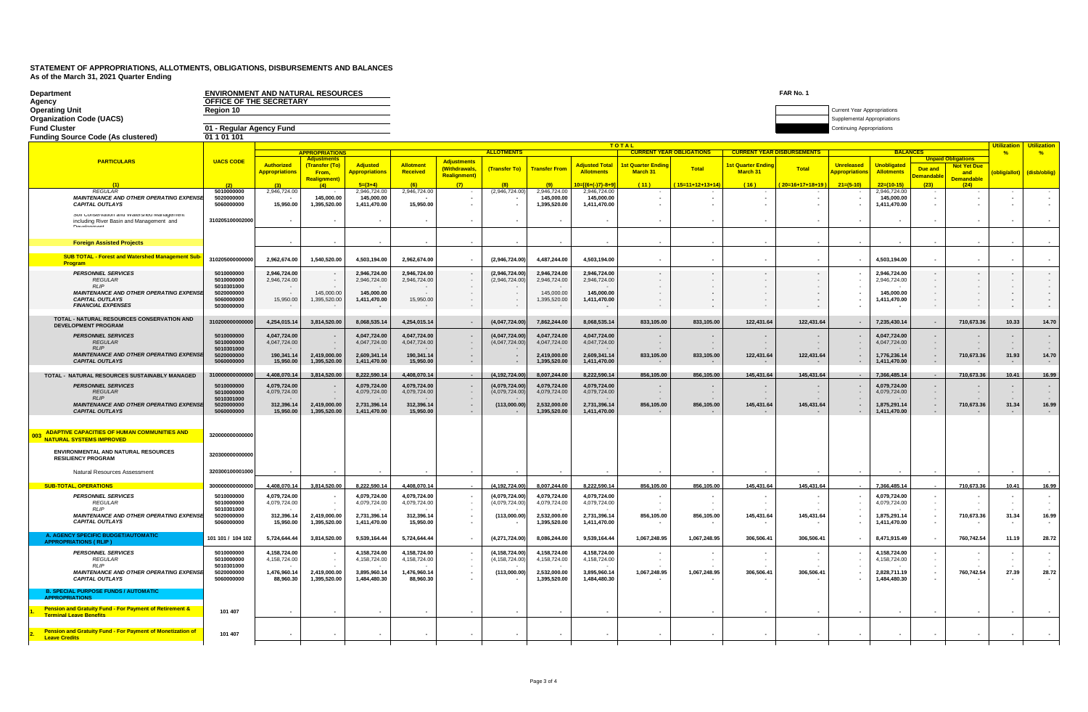| Department                                                                                    | ENVIRONMENT AND NATURAL RESOURCES<br>OFFICE OF THE SECRETARY |                                                                                             |                               |                              |                              |                                      |                                   |                              |                                      |                          |                          |                                  | FAR No. 1                |                                                                 |                                     |                                     |                                |              |              |
|-----------------------------------------------------------------------------------------------|--------------------------------------------------------------|---------------------------------------------------------------------------------------------|-------------------------------|------------------------------|------------------------------|--------------------------------------|-----------------------------------|------------------------------|--------------------------------------|--------------------------|--------------------------|----------------------------------|--------------------------|-----------------------------------------------------------------|-------------------------------------|-------------------------------------|--------------------------------|--------------|--------------|
| Agency<br><b>Operating Unit</b>                                                               | Region 10                                                    |                                                                                             |                               |                              |                              |                                      |                                   |                              |                                      |                          |                          |                                  |                          | Current Year Appropriations                                     |                                     |                                     |                                |              |              |
| <b>Organization Code (UACS)</b><br><b>Fund Cluster</b>                                        | 01 - Regular Agency Fund                                     |                                                                                             |                               |                              |                              |                                      |                                   |                              |                                      |                          |                          |                                  |                          | Supplemental Appropriations<br><b>Continuing Appropriations</b> |                                     |                                     |                                |              |              |
| <b>Funding Source Code (As clustered)</b>                                                     | 01 1 01 101                                                  |                                                                                             |                               |                              |                              |                                      |                                   |                              |                                      |                          |                          |                                  |                          |                                                                 |                                     |                                     |                                |              |              |
|                                                                                               |                                                              | <b>TOTAL</b><br><b>ALLOTMENT</b><br><b>APPROPRIATION</b><br><b>CURRENT YEAR OBLIGATIONS</b> |                               |                              |                              |                                      |                                   |                              |                                      |                          |                          | <b>CURRENT YEAR DISBURSEMENT</b> |                          |                                                                 | <b>Utilization</b><br>$\frac{9}{6}$ | <b>Utilization</b><br>$\frac{9}{6}$ |                                |              |              |
| <b>PARTICULARS</b>                                                                            | <b>UACS CODE</b>                                             | <b>Authorized</b>                                                                           | (Transfer (To)                | Adjusted                     | Allotment                    | <b>Adjustments</b>                   |                                   |                              | <b>Adiusted Total</b>                | <b>Ist Quarter Endi</b>  |                          | <b>Ist Quarter Endir</b>         |                          | <b>Unreleased</b>                                               | <b>Unobligated</b>                  |                                     | <b>Not Yet Due</b>             |              |              |
|                                                                                               |                                                              | <b>Appropriations</b>                                                                       | From,<br><b>Realignment</b> ) | <b>Appropriations</b>        | Received                     | (Withdrawals,<br><b>Realignment)</b> | (Transfer To)                     | <b>Transfer From</b>         | <b>Allotments</b>                    | March 31                 | <b>Total</b>             | March 31                         | <b>Total</b>             | <mark>Appropriation</mark>                                      | <b>Allotments</b>                   | Due and<br><b>emandabl</b>          | and<br><mark>Demandable</mark> | oblig/allot) | (disb/oblig) |
| <b>REGULAR</b>                                                                                | 5010000000                                                   | 2,946,724.00                                                                                |                               | $5=(3+4)$<br>2,946,724.00    | 2,946,724.00                 |                                      | (2,946,724.00)                    | 2,946,724.00                 | $0=$ $(6+(-17)-8+9)$<br>2,946,724.00 | (11)                     | $15=11+12+13+14$         | (16)                             | $20=16+17+18+19$         | $21=(5-10)$                                                     | $22 - 110 - 15$<br>2,946,724.00     | (23)                                | (24)                           |              |              |
| MAINTENANCE AND OTHER OPERATING EXPENSI<br><b>CAPITAL OUTLAYS</b>                             | 5020000000<br>5060000000                                     | 15.950.00                                                                                   | 145,000.00<br>1.395.520.00    | 145,000.00<br>1.411.470.00   | 15.950.00                    |                                      |                                   | 145,000.00<br>1,395,520.00   | 145,000.00<br>1,411,470.00           | $\overline{\phantom{a}}$ |                          |                                  | $\overline{\phantom{a}}$ |                                                                 | 145,000.00<br>1,411,470.00          |                                     |                                |              |              |
| our conservation and viatershed management<br>including River Basin and Management and        | 310205100002000                                              |                                                                                             |                               |                              |                              |                                      |                                   |                              |                                      |                          |                          |                                  |                          |                                                                 |                                     |                                     |                                |              |              |
| <b>Foreign Assisted Projects</b>                                                              |                                                              |                                                                                             |                               |                              |                              |                                      |                                   |                              |                                      |                          |                          |                                  |                          |                                                                 |                                     |                                     |                                |              |              |
| <b>SUB TOTAL - Forest and Watershed Management Sul</b><br><b>Program</b>                      | 31020500000000                                               | 2,962,674.00                                                                                | 1,540,520.00                  | 4,503,194.00                 | 2,962,674.00                 |                                      | (2,946,724.00)                    | 4,487,244.00                 | 4,503,194.00                         | $\overline{\phantom{a}}$ |                          | $\overline{\phantom{a}}$         | $\overline{\phantom{a}}$ |                                                                 | 4,503,194.00                        | $\overline{\phantom{a}}$            |                                |              |              |
| <b>PERSONNEL SERVICES</b><br><b>REGULAR</b>                                                   | 5010000000<br>5010000000                                     | 2,946,724.00<br>2,946,724.00                                                                |                               | 2,946,724.00<br>2,946,724.00 | 2,946,724.00<br>2,946,724.00 |                                      | (2,946,724.00)<br>(2,946,724.00)  | 2,946,724.00<br>2,946,724.00 | 2,946,724.00<br>2,946,724.00         | $\sim$                   |                          |                                  |                          |                                                                 | 2,946,724.00<br>2,946,724.00        |                                     |                                |              |              |
| <b>RI</b> IP<br><b>MAINTENANCE AND OTHER OPERATING EXPENS</b>                                 | 5010301000<br>5020000000                                     |                                                                                             | 145,000.00                    | 145,000.00                   |                              |                                      |                                   | 145,000.00                   | 145,000.00                           | $\sim$<br>$\sim$         | $\overline{\phantom{a}}$ |                                  | $\overline{\phantom{a}}$ |                                                                 | 145,000.00                          | $\sim$                              |                                |              |              |
| <b>CAPITAL OUTLAYS</b><br><b>FINANCIAL EXPENSES</b>                                           | 5060000000<br>5030000000                                     | 15,950.00                                                                                   | 1,395,520.00<br>$\sim$        | 1,411,470.00                 | 15,950.00                    |                                      |                                   | 1,395,520.00                 | 1,411,470.00                         |                          |                          |                                  |                          |                                                                 | 1,411,470.00                        |                                     |                                |              |              |
| TOTAL - NATURAL RESOURCES CONSERVATION AND<br><b>DEVELOPMENT PROGRAM</b>                      | 3102000000000                                                | 4,254,015.14                                                                                | 3,814,520.00                  | 8,068,535.1                  | 4,254,015.14                 |                                      | (4,047,724.00                     | 7,862,244.00                 | 8,068,535.14                         | 833,105.00               | 833,105.00               | 122,431.64                       | 122,431.64               | $\overline{\phantom{a}}$                                        | 7,235,430.14                        |                                     | 710,673.3                      | 10.33        | 14.70        |
| <b>PERSONNEL SERVICES</b><br><b>REGULAR</b><br><b>RLIP</b>                                    | 5010000000<br>5010000000<br>5010301000                       | 4,047,724.00<br>4,047,724.00                                                                |                               | 4,047,724.00<br>4,047,724.00 | 4,047,724.00<br>4,047,724.00 |                                      | (4,047,724.00)<br>(4,047,724.00)  | 4,047,724.00<br>4,047,724.00 | 4,047,724.00<br>4,047,724.00         |                          |                          |                                  |                          | $\overline{\phantom{a}}$<br>$\sim$                              | 4,047,724.00<br>4,047,724.00        | $\overline{\phantom{a}}$<br>$\sim$  |                                |              |              |
| <b>MAINTENANCE AND OTHER OPERATING EXPENSE</b><br><b>CAPITAL OUTLAYS</b>                      | 5020000000<br>5060000000                                     | 190,341.14<br>15,950.00                                                                     | 2,419,000.00<br>1,395,520.00  | 2,609,341.14<br>1,411,470.00 | 190,341.14<br>15,950.00      |                                      |                                   | 2,419,000.00<br>1,395,520.00 | 2,609,341.14<br>1,411,470.00         | 833,105.00               | 833,105.00               | 122,431.64                       | 122,431.64               | $\overline{\phantom{a}}$                                        | 1,776,236.14<br>1,411,470.00        |                                     | 710,673.36                     | 31.93        | 14.70        |
| TOTAL - NATURAL RESOURCES SUSTAINABLY MANAGED                                                 | 3100000000000                                                | 4,408,070.14                                                                                | 3,814,520.00                  | 8,222,590.14                 | 4,408,070.14                 |                                      | (4, 192, 724.00)                  | 8,007,244.00                 | 8,222,590.14                         | 856,105.00               | 856,105.00               | 145,431.64                       | 145,431.64               |                                                                 | 7,366,485.14                        |                                     | 710,673.36                     | 10.41        | 16.99        |
| <b>PERSONNEL SERVICES</b><br><b>REGULAR</b>                                                   | 5010000000<br>5010000000                                     | 4.079.724.00<br>4,079,724.00                                                                |                               | 4.079.724.00<br>4,079,724.00 | 4.079.724.00<br>4,079,724.00 |                                      | (4.079.724.00)<br>(4,079,724.00)  | 4.079.724.00<br>4,079,724.00 | 4.079.724.00<br>4,079,724.00         |                          |                          |                                  |                          |                                                                 | 4.079.724.00<br>4,079,724.00        |                                     |                                |              |              |
| RIIP<br>MAINTENANCE AND OTHER OPERATING EXPENSI                                               | 5010301000<br>5020000000                                     | 312,396.14                                                                                  | 2,419,000.00                  | 2,731,396.14                 | 312,396.14                   |                                      | (113,000.00)                      | 2,532,000.00                 | 2,731,396.14                         | 856,105.00               | 856,105.00               | 145,431.64                       | 145,431.64               | $\sim$                                                          | 1,875,291.14                        | $\overline{\phantom{a}}$            | 710,673.36                     | 31.34        | 16.99        |
| <b>CAPITAL OUTLAYS</b>                                                                        | 5060000000                                                   | 15,950.00                                                                                   | 1,395,520.00                  | 1,411,470.00                 | 15,950.00                    |                                      |                                   | 1,395,520.00                 | 1,411,470.00                         |                          |                          |                                  |                          | $\overline{\phantom{a}}$                                        | 1,411,470.00                        | $\overline{\phantom{a}}$            |                                |              |              |
|                                                                                               |                                                              |                                                                                             |                               |                              |                              |                                      |                                   |                              |                                      |                          |                          |                                  |                          |                                                                 |                                     |                                     |                                |              |              |
| <b>ADAPTIVE CAPACITIES OF HUMAN COMMUNITIES AND</b><br>003<br><b>NATURAL SYSTEMS IMPROVED</b> | 320000000000000                                              |                                                                                             |                               |                              |                              |                                      |                                   |                              |                                      |                          |                          |                                  |                          |                                                                 |                                     |                                     |                                |              |              |
| ENVIRONMENTAL AND NATURAL RESOURCES<br><b>RESILIENCY PROGRAM</b>                              | 32030000000000                                               |                                                                                             |                               |                              |                              |                                      |                                   |                              |                                      |                          |                          |                                  |                          |                                                                 |                                     |                                     |                                |              |              |
| Natural Resources Assessment                                                                  | 320300100001000                                              |                                                                                             |                               |                              |                              |                                      |                                   |                              |                                      |                          |                          |                                  |                          |                                                                 |                                     |                                     |                                |              |              |
| <b>SUB-TOTAL, OPERATIONS</b>                                                                  | 300000000000000                                              | 4,408,070.14                                                                                | 3,814,520.00                  | 8.222.590.14                 | 4,408,070.14                 |                                      | (4.192.724.00)                    | 8.007.244.00                 | 8,222,590.14                         | 856,105.00               | 856,105.00               | 145,431.64                       | 145,431.64               |                                                                 | 7.366.485.14                        |                                     | 710.673.36                     | 10.41        | 16.99        |
| <b>PERSONNEL SERVICES</b><br><b>REGULAR</b><br><b>RI</b> IP                                   | 5010000000<br>5010000000<br>5010301000                       | 4,079,724.00<br>4,079,724.00                                                                |                               | 4,079,724.00<br>4,079,724.00 | 4,079,724.00<br>4,079,724.00 |                                      | (4,079,724.00)<br>(4,079,724.00)  | 4,079,724.00<br>4,079,724.00 | 4,079,724.00<br>4,079,724.00         |                          |                          |                                  |                          |                                                                 | 4,079,724.00<br>4,079,724.00        |                                     |                                |              |              |
| <b>MAINTENANCE AND OTHER OPERATING EXPENSE</b><br><b>CAPITAL OUTLAYS</b>                      | 5020000000<br>5060000000                                     | 312,396.14<br>15,950.00                                                                     | 2.419.000.00<br>1,395,520.00  | 2,731,396.14<br>1,411,470.00 | 312.396.14<br>15,950.00      |                                      | (113,000.00)                      | 2,532,000.00<br>1,395,520.00 | 2,731,396.14<br>1,411,470.00         | 856,105.00               | 856,105.00               | 145,431.64                       | 145,431.64               | $\overline{\phantom{a}}$                                        | 1,875,291.14<br>1,411,470.00        |                                     | 710,673.36                     | 31.34        | 16.99        |
| <b>A. AGENCY SPECIFIC BUDGET/AUTOMATIC</b><br><b>APPROPRIATIONS (RLIP)</b>                    | 101 101 / 104 102                                            | 5,724,644.44                                                                                | 3,814,520.00                  | 9,539,164.44                 | 5,724,644.44                 |                                      | (4,271,724.00)                    | 8,086,244.00                 | 9,539,164.44                         | 1,067,248.95             | 1,067,248.95             | 306.506.41                       | 306,506.41               |                                                                 | 8,471,915.49                        |                                     | 760,742.54                     | 11.19        | 28.72        |
| <b>PERSONNEL SERVICES</b><br><b>REGULAR</b><br>RI IP                                          | 5010000000<br>5010000000<br>5010301000                       | 4,158,724.00<br>4,158,724.00                                                                |                               | 4,158,724.00<br>4,158,724.00 | 4,158,724.00<br>4,158,724.00 |                                      | (4, 158, 724.00)<br>(4,158,724.00 | 4,158,724.00<br>4,158,724.00 | 4,158,724.00<br>4,158,724.00         |                          |                          |                                  |                          |                                                                 | 4,158,724.00<br>4,158,724.00        |                                     |                                |              |              |
| <b>MAINTENANCE AND OTHER OPERATING EXPENSE</b><br><b>CAPITAL OUTLAYS</b>                      | 5020000000<br>5060000000                                     | 1,476,960.14<br>88,960.30                                                                   | 2,419,000.00<br>1,395,520.00  | 3,895,960.14<br>1,484,480.30 | 1,476,960.14<br>88,960.30    |                                      | (113,000.00)                      | 2,532,000.00<br>1,395,520.00 | 3,895,960.14<br>1,484,480.30         | 1,067,248.95             | 1,067,248.95             | 306,506.41                       | 306,506.41               |                                                                 | 2,828,711.19<br>1,484,480.30        |                                     | 760,742.54                     | 27.39        | 28.72        |
| <b>B. SPECIAL PURPOSE FUNDS / AUTOMATIC</b><br><b>APPROPRIATIONS</b>                          |                                                              |                                                                                             |                               |                              |                              |                                      |                                   |                              |                                      |                          |                          |                                  |                          |                                                                 |                                     |                                     |                                |              |              |
| Pension and Gratuity Fund - For Payment of Retirement &<br><b>Terminal Leave Benefits</b>     | 101 407                                                      |                                                                                             |                               |                              |                              |                                      |                                   |                              |                                      |                          |                          |                                  |                          |                                                                 |                                     |                                     |                                |              |              |
| Pension and Gratuity Fund - For Payment of Monetization of<br><b>Leave Credits</b>            | 101 407                                                      |                                                                                             |                               |                              |                              |                                      |                                   |                              |                                      |                          |                          |                                  |                          |                                                                 |                                     |                                     |                                |              |              |